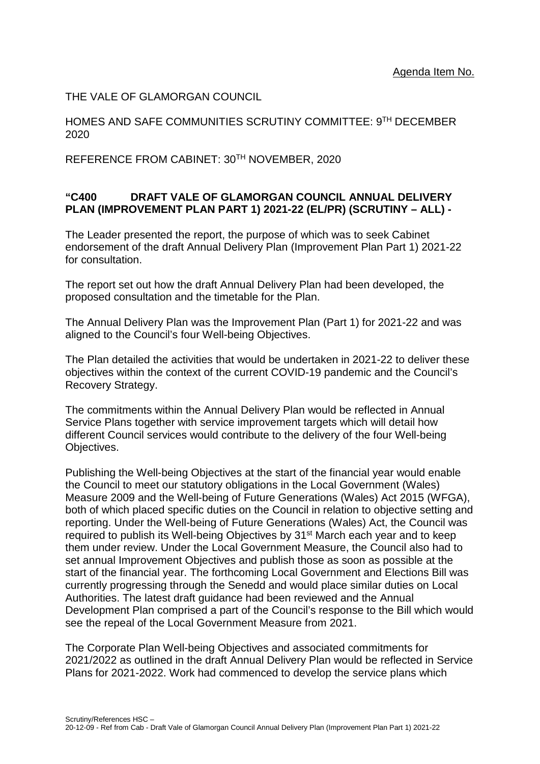THE VALE OF GLAMORGAN COUNCIL

HOMES AND SAFE COMMUNITIES SCRUTINY COMMITTEE: 9TH DECEMBER 2020

REFERENCE FROM CABINET: 30TH NOVEMBER, 2020

## **"C400 DRAFT VALE OF GLAMORGAN COUNCIL ANNUAL DELIVERY PLAN (IMPROVEMENT PLAN PART 1) 2021-22 (EL/PR) (SCRUTINY – ALL) -**

The Leader presented the report, the purpose of which was to seek Cabinet endorsement of the draft Annual Delivery Plan (Improvement Plan Part 1) 2021-22 for consultation.

The report set out how the draft Annual Delivery Plan had been developed, the proposed consultation and the timetable for the Plan.

The Annual Delivery Plan was the Improvement Plan (Part 1) for 2021-22 and was aligned to the Council's four Well-being Objectives.

The Plan detailed the activities that would be undertaken in 2021-22 to deliver these objectives within the context of the current COVID-19 pandemic and the Council's Recovery Strategy.

The commitments within the Annual Delivery Plan would be reflected in Annual Service Plans together with service improvement targets which will detail how different Council services would contribute to the delivery of the four Well-being Objectives.

Publishing the Well-being Objectives at the start of the financial year would enable the Council to meet our statutory obligations in the Local Government (Wales) Measure 2009 and the Well-being of Future Generations (Wales) Act 2015 (WFGA), both of which placed specific duties on the Council in relation to objective setting and reporting. Under the Well-being of Future Generations (Wales) Act, the Council was required to publish its Well-being Objectives by 31st March each year and to keep them under review. Under the Local Government Measure, the Council also had to set annual Improvement Objectives and publish those as soon as possible at the start of the financial year. The forthcoming Local Government and Elections Bill was currently progressing through the Senedd and would place similar duties on Local Authorities. The latest draft guidance had been reviewed and the Annual Development Plan comprised a part of the Council's response to the Bill which would see the repeal of the Local Government Measure from 2021.

The Corporate Plan Well-being Objectives and associated commitments for 2021/2022 as outlined in the draft Annual Delivery Plan would be reflected in Service Plans for 2021-2022. Work had commenced to develop the service plans which